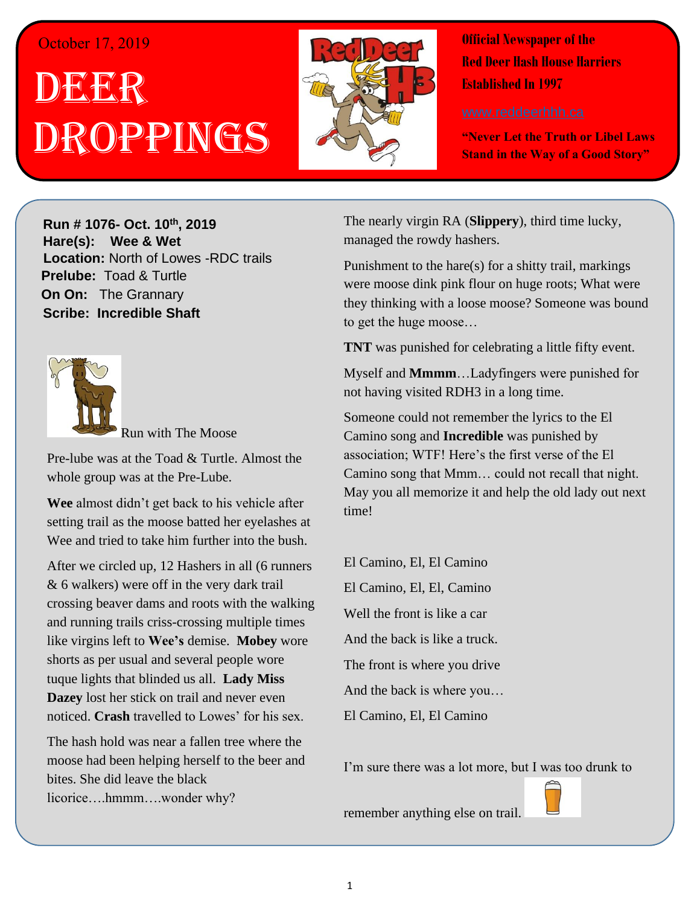## October 17, 2019

## . 1 DEER h  $\overline{\phantom{a}}$ OPPINGS



**Official Newspaper of the Red Deer Hash House Harriers Established In 1997** 

**"Never Let the Truth or Libel Laws Stand in the Way of a Good Story"**

**Run # 1075- Oct. 3 rd, 2019 H**arely **Run # 1076-** Oct. 10<sup>th</sup>, 2019 **Hare(s): Wee & Wet** Location: North of Lowes -RDC trails **Prelube:** Toad & Turtle **On On:** The Grannary **Sir Sire And Stationary** *Have you ever just wanted to go out after a hard day of*  **Scribe: Incredible Shaft**



**Express Run with The Moose** 

Pre-lube was at the Toad & Turtle. Almost the whole group was at the Pre-Lube.

Wee almost didn't get back to his vehicle after setting trail as the moose batted her eyelashes at Wee and tried to take him further into the bush.

After we circled up, 12 Hashers in all (6 runners *shirt based on those comments to assist themselves in*  crossing beaver dams and roots with the walking and running trails criss-crossing multiple times like virgins left to **Wee's** demise. **Mobey** wore  $\frac{m}{t}$  is that said,  $\frac{m}{t}$  is the does that she does that she does the does that she does that she does the does that she does the does the does the does the does the does the does the does the does the does the do  $\overline{\text{D}}$  **Dazey** lost her stick on trail and never even noticed. Crash travelled to Lowes' for his sex. & 6 walkers) were off in the very dark trail shorts as per usual and several people wore tuque lights that blinded us all. **Lady Miss**

The hash hold was near a fallen tree where the moose had been helping herself to the beer and bites. She did leave the black licorice....hmmm....wonder why?

*Have you ever been to a Hash run where the weather at*  The nearly virgin RA (**Slippery**), third time lucky, *the preduce is preduced the rowdy hashers. then you get the run is the run is the run is the run is the run is the run is the run is the run is the run is the run is the run is the run is the run is the run is the ru* 

Punishment to the hare(s) for a shitty trail, markings were moose dink pink flour on huge roots; What were  $\frac{1}{2}$  to get the huge moose... they thinking with a loose moose? Someone was bound

me body body as the wind was bitter wind was bitter with the wind was bitter. **TNT** was punished for celebrating a little fifty event.

Myself and **Mmmm**...Ladyfingers were punished for not having visited RDH3 in a long time.

*Have you ever started a run and thought – The walkers*  Camino song and **Incredible** was punished by association; WTF! Here's the first verse of the El Camino song that Mmm... could not recall that night. *while the runners run.* May you all memorize it and help the old lady out next Someone could not remember the lyrics to the El time!

 $t_{\text{c}}$  summon between the warmth of the warmth of the warmth of the warmth of the warmth of the warmth of the warmth of the warmth of the warmth of the warmth of the warmth of the warmth of the warmth of the warmth of El Camino, El, El, Camino Well the front is like a car And the back is like a truck. **put down that you set one that you set one that you set one there 4 weeks** *a* **week <b>***n* And the back is where you… *markings would still be there?* El Camino, El, El Camino El Camino, El, El Camino

I'm sure there was a lot more, but I was too drunk to



remember anything else on trail.